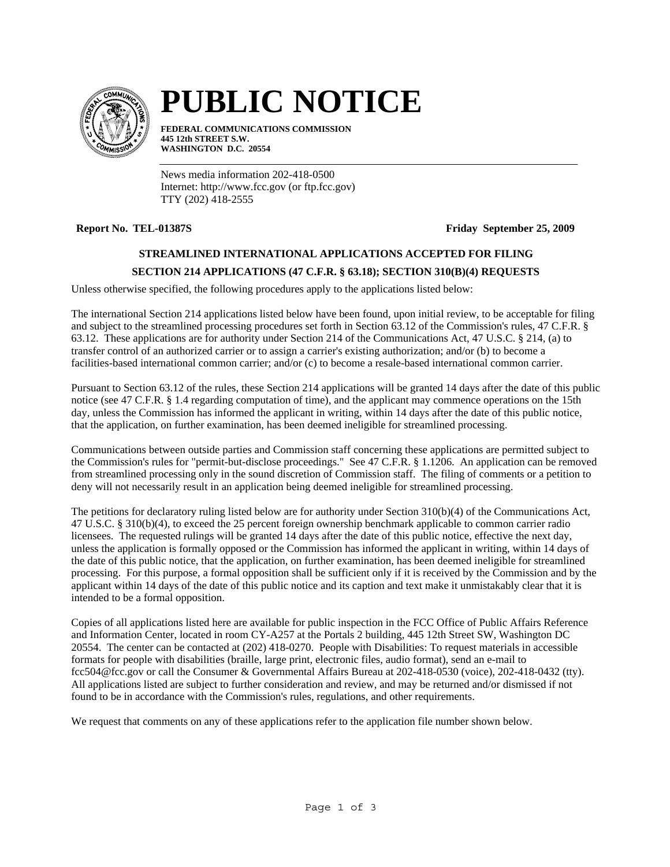

# **PUBLIC NOTICE**

**FEDERAL COMMUNICATIONS COMMISSION 445 12th STREET S.W. WASHINGTON D.C. 20554**

News media information 202-418-0500 Internet: http://www.fcc.gov (or ftp.fcc.gov) TTY (202) 418-2555

**Report No. TEL-01387S Friday September 25, 2009** 

## **STREAMLINED INTERNATIONAL APPLICATIONS ACCEPTED FOR FILING**

### **SECTION 214 APPLICATIONS (47 C.F.R. § 63.18); SECTION 310(B)(4) REQUESTS**

Unless otherwise specified, the following procedures apply to the applications listed below:

The international Section 214 applications listed below have been found, upon initial review, to be acceptable for filing and subject to the streamlined processing procedures set forth in Section 63.12 of the Commission's rules, 47 C.F.R. § 63.12. These applications are for authority under Section 214 of the Communications Act, 47 U.S.C. § 214, (a) to transfer control of an authorized carrier or to assign a carrier's existing authorization; and/or (b) to become a facilities-based international common carrier; and/or (c) to become a resale-based international common carrier.

Pursuant to Section 63.12 of the rules, these Section 214 applications will be granted 14 days after the date of this public notice (see 47 C.F.R. § 1.4 regarding computation of time), and the applicant may commence operations on the 15th day, unless the Commission has informed the applicant in writing, within 14 days after the date of this public notice, that the application, on further examination, has been deemed ineligible for streamlined processing.

Communications between outside parties and Commission staff concerning these applications are permitted subject to the Commission's rules for "permit-but-disclose proceedings." See 47 C.F.R. § 1.1206. An application can be removed from streamlined processing only in the sound discretion of Commission staff. The filing of comments or a petition to deny will not necessarily result in an application being deemed ineligible for streamlined processing.

The petitions for declaratory ruling listed below are for authority under Section 310(b)(4) of the Communications Act, 47 U.S.C. § 310(b)(4), to exceed the 25 percent foreign ownership benchmark applicable to common carrier radio licensees. The requested rulings will be granted 14 days after the date of this public notice, effective the next day, unless the application is formally opposed or the Commission has informed the applicant in writing, within 14 days of the date of this public notice, that the application, on further examination, has been deemed ineligible for streamlined processing. For this purpose, a formal opposition shall be sufficient only if it is received by the Commission and by the applicant within 14 days of the date of this public notice and its caption and text make it unmistakably clear that it is intended to be a formal opposition.

Copies of all applications listed here are available for public inspection in the FCC Office of Public Affairs Reference and Information Center, located in room CY-A257 at the Portals 2 building, 445 12th Street SW, Washington DC 20554. The center can be contacted at (202) 418-0270. People with Disabilities: To request materials in accessible formats for people with disabilities (braille, large print, electronic files, audio format), send an e-mail to fcc504@fcc.gov or call the Consumer & Governmental Affairs Bureau at 202-418-0530 (voice), 202-418-0432 (tty). All applications listed are subject to further consideration and review, and may be returned and/or dismissed if not found to be in accordance with the Commission's rules, regulations, and other requirements.

We request that comments on any of these applications refer to the application file number shown below.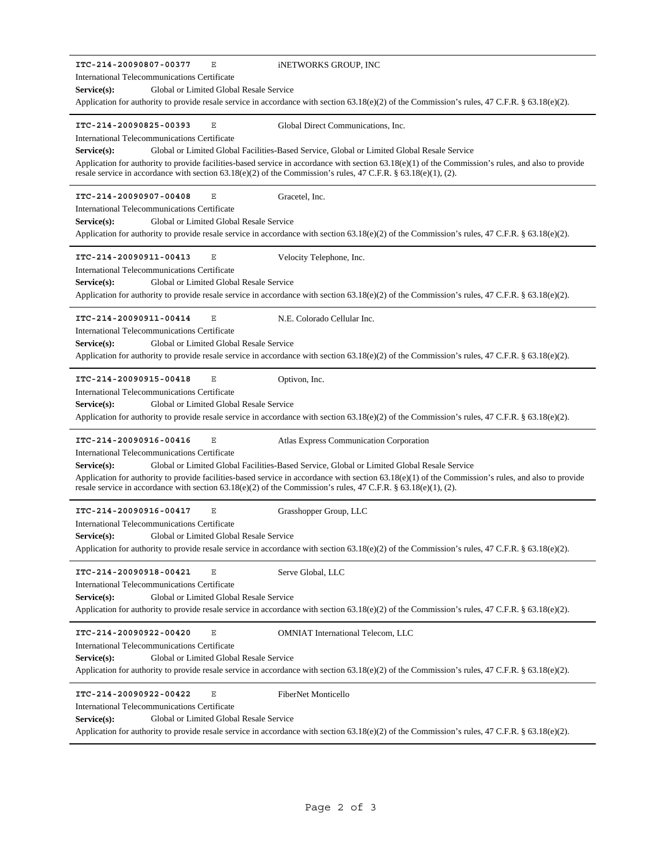| ITC-214-20090807-00377<br>Ε<br>INETWORKS GROUP, INC<br>International Telecommunications Certificate<br>Global or Limited Global Resale Service<br>Service(s):<br>Application for authority to provide resale service in accordance with section 63.18(e)(2) of the Commission's rules, 47 C.F.R. § 63.18(e)(2).                                                                                                                                                                                                |
|----------------------------------------------------------------------------------------------------------------------------------------------------------------------------------------------------------------------------------------------------------------------------------------------------------------------------------------------------------------------------------------------------------------------------------------------------------------------------------------------------------------|
| ITC-214-20090825-00393<br>Е<br>Global Direct Communications, Inc.<br>International Telecommunications Certificate<br>Global or Limited Global Facilities-Based Service, Global or Limited Global Resale Service<br>Service(s):<br>Application for authority to provide facilities-based service in accordance with section $63.18(e)(1)$ of the Commission's rules, and also to provide<br>resale service in accordance with section 63.18(e)(2) of the Commission's rules, 47 C.F.R. § 63.18(e)(1), (2).      |
| Gracetel, Inc.<br>ITC-214-20090907-00408<br>Ε<br>International Telecommunications Certificate<br>Service(s):<br>Global or Limited Global Resale Service<br>Application for authority to provide resale service in accordance with section 63.18(e)(2) of the Commission's rules, 47 C.F.R. § 63.18(e)(2).                                                                                                                                                                                                      |
| ITC-214-20090911-00413<br>Ε<br>Velocity Telephone, Inc.<br>International Telecommunications Certificate<br>Global or Limited Global Resale Service<br>Service(s):<br>Application for authority to provide resale service in accordance with section 63.18(e)(2) of the Commission's rules, 47 C.F.R. § 63.18(e)(2).                                                                                                                                                                                            |
| ITC-214-20090911-00414<br>N.E. Colorado Cellular Inc.<br>Ε<br>International Telecommunications Certificate<br>Global or Limited Global Resale Service<br>Service(s):<br>Application for authority to provide resale service in accordance with section 63.18(e)(2) of the Commission's rules, 47 C.F.R. § 63.18(e)(2).                                                                                                                                                                                         |
| ITC-214-20090915-00418<br>Ε<br>Optivon, Inc.<br>International Telecommunications Certificate<br>Global or Limited Global Resale Service<br>Service(s):<br>Application for authority to provide resale service in accordance with section 63.18(e)(2) of the Commission's rules, 47 C.F.R. § 63.18(e)(2).                                                                                                                                                                                                       |
| ITC-214-20090916-00416<br>Е<br>Atlas Express Communication Corporation<br>International Telecommunications Certificate<br>Global or Limited Global Facilities-Based Service, Global or Limited Global Resale Service<br>Service(s):<br>Application for authority to provide facilities-based service in accordance with section $63.18(e)(1)$ of the Commission's rules, and also to provide<br>resale service in accordance with section 63.18(e)(2) of the Commission's rules, 47 C.F.R. § 63.18(e)(1), (2). |
| ITC-214-20090916-00417<br>Ε<br>Grasshopper Group, LLC<br>International Telecommunications Certificate<br>Global or Limited Global Resale Service<br>Service(s):<br>Application for authority to provide resale service in accordance with section 63.18(e)(2) of the Commission's rules, 47 C.F.R. § 63.18(e)(2).                                                                                                                                                                                              |
| ITC-214-20090918-00421<br>Ε<br>Serve Global, LLC<br>International Telecommunications Certificate<br>Global or Limited Global Resale Service<br>$Service(s)$ :<br>Application for authority to provide resale service in accordance with section 63.18(e)(2) of the Commission's rules, 47 C.F.R. § 63.18(e)(2).                                                                                                                                                                                                |
| $\mathbf E$<br>ITC-214-20090922-00420<br><b>OMNIAT</b> International Telecom, LLC<br>International Telecommunications Certificate<br>Global or Limited Global Resale Service<br>Service(s):<br>Application for authority to provide resale service in accordance with section 63.18(e)(2) of the Commission's rules, 47 C.F.R. § 63.18(e)(2).                                                                                                                                                                  |
| E<br>ITC-214-20090922-00422<br>FiberNet Monticello<br>International Telecommunications Certificate<br>Global or Limited Global Resale Service<br>Service(s):<br>Application for authority to provide resale service in accordance with section 63.18(e)(2) of the Commission's rules, 47 C.F.R. § 63.18(e)(2).                                                                                                                                                                                                 |